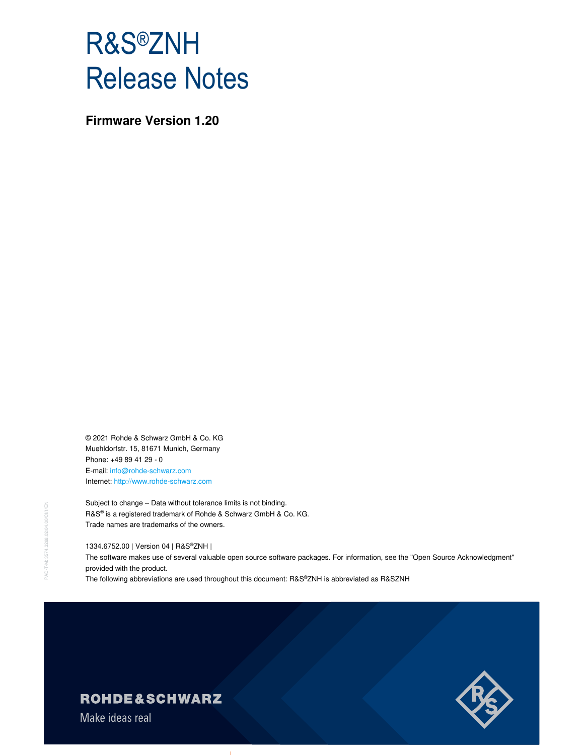# R&S®ZNH Release Notes

**Firmware Version 1.20** 

© 2021 Rohde & Schwarz GmbH & Co. KG Muehldorfstr. 15, 81671 Munich, Germany Phone: +49 89 41 29 - 0 E-mail: info@rohde-schwarz.com Internet: http://www.rohde-schwarz.com

Subject to change – Data without tolerance limits is not binding. R&S® is a registered trademark of Rohde & Schwarz GmbH & Co. KG. Trade names are trademarks of the owners.

1334.6752.00 | Version 04 | R&S®ZNH |

The software makes use of several valuable open source software packages. For information, see the "Open Source Acknowledgment" provided with the product.

The following abbreviations are used throughout this document: R&S®ZNH is abbreviated as R&SZNH

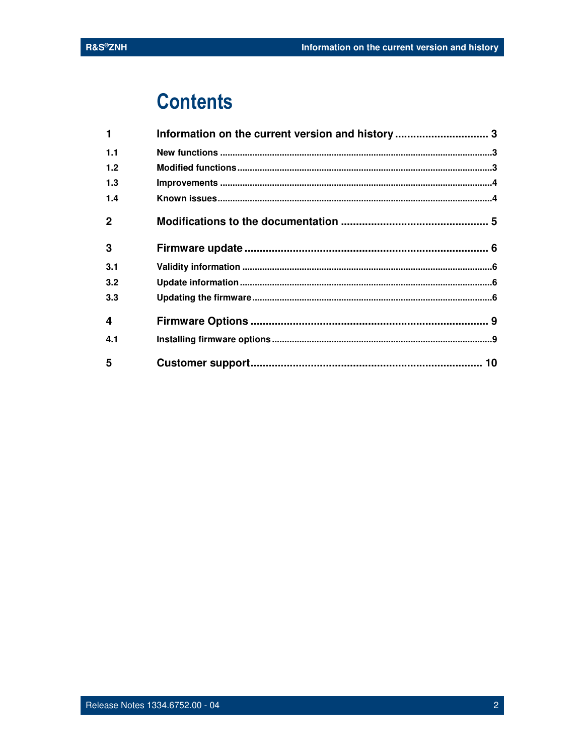# **Contents**

| $\blacktriangleleft$ | Information on the current version and history 3 |  |
|----------------------|--------------------------------------------------|--|
| 1.1                  |                                                  |  |
| 1.2                  |                                                  |  |
| 1.3                  |                                                  |  |
| 1.4                  |                                                  |  |
| $\mathbf{2}$         |                                                  |  |
| 3                    |                                                  |  |
| 3.1                  |                                                  |  |
| 3.2                  |                                                  |  |
| 3.3                  |                                                  |  |
| 4                    |                                                  |  |
| 4.1                  |                                                  |  |
| 5                    |                                                  |  |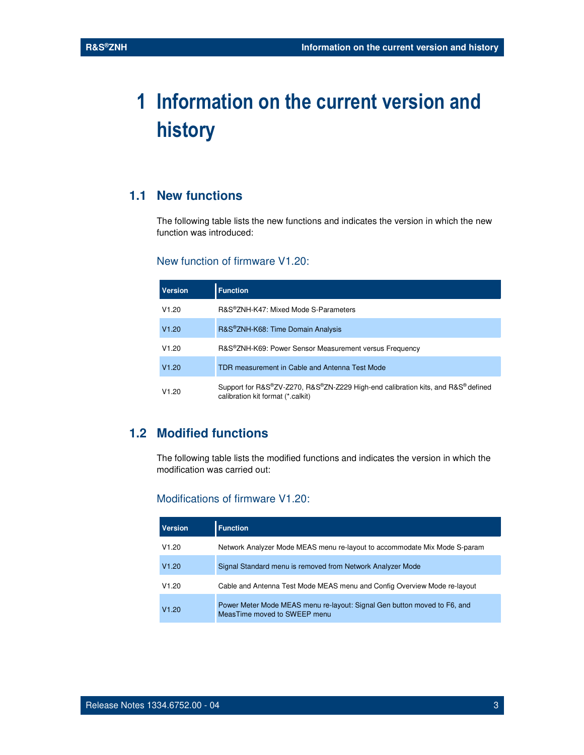# **1 Information on the current version and history**

### **1.1 New functions**

The following table lists the new functions and indicates the version in which the new function was introduced:

#### New function of firmware V1.20:

| <b>Version</b> | <b>Function</b>                                                                                                       |  |
|----------------|-----------------------------------------------------------------------------------------------------------------------|--|
| V1.20          | R&S®ZNH-K47: Mixed Mode S-Parameters                                                                                  |  |
| V1.20          | R&S®ZNH-K68: Time Domain Analysis                                                                                     |  |
| V1.20          | R&S®ZNH-K69: Power Sensor Measurement versus Frequency                                                                |  |
| V1.20          | TDR measurement in Cable and Antenna Test Mode                                                                        |  |
| V1.20          | Support for R&S®ZV-Z270, R&S®ZN-Z229 High-end calibration kits, and R&S® defined<br>calibration kit format (*.calkit) |  |

# **1.2 Modified functions**

The following table lists the modified functions and indicates the version in which the modification was carried out:

#### Modifications of firmware V1.20:

| <b>Version</b> | <b>Function</b>                                                                                          |
|----------------|----------------------------------------------------------------------------------------------------------|
| V1.20          | Network Analyzer Mode MEAS menu re-layout to accommodate Mix Mode S-param                                |
| V1.20          | Signal Standard menu is removed from Network Analyzer Mode                                               |
| V1.20          | Cable and Antenna Test Mode MEAS menu and Config Overview Mode re-layout                                 |
| V1.20          | Power Meter Mode MEAS menu re-layout: Signal Gen button moved to F6, and<br>MeasTime moved to SWEEP menu |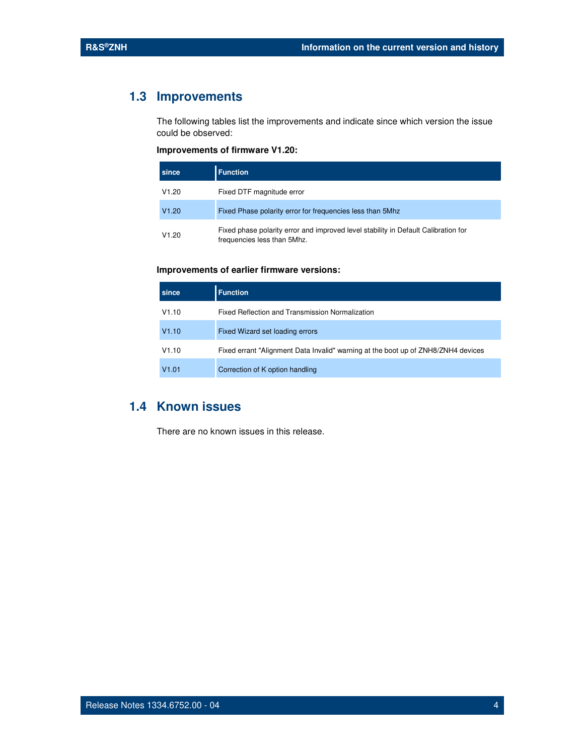## **1.3 Improvements**

The following tables list the improvements and indicate since which version the issue could be observed:

#### **Improvements of firmware V1.20:**

| since | <b>Function</b>                                                                                                   |
|-------|-------------------------------------------------------------------------------------------------------------------|
| V1.20 | Fixed DTF magnitude error                                                                                         |
| V1.20 | Fixed Phase polarity error for frequencies less than 5Mhz                                                         |
| V1.20 | Fixed phase polarity error and improved level stability in Default Calibration for<br>frequencies less than 5Mhz. |

#### **Improvements of earlier firmware versions:**

| since | <b>Function</b>                                                                   |
|-------|-----------------------------------------------------------------------------------|
| V1.10 | Fixed Reflection and Transmission Normalization                                   |
| V1.10 | Fixed Wizard set loading errors                                                   |
| V1.10 | Fixed errant "Alignment Data Invalid" warning at the boot up of ZNH8/ZNH4 devices |
| V1.01 | Correction of K option handling                                                   |

### **1.4 Known issues**

There are no known issues in this release.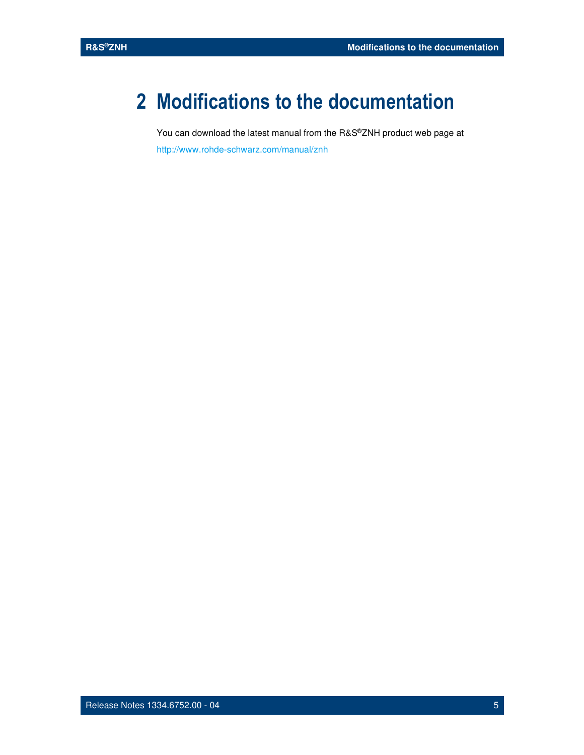# **2 Modifications to the documentation**

You can download the latest manual from the R&S®ZNH product web page at http://www.rohde-schwarz.com/manual/znh

Release Notes 1334.6752.00 - 04 5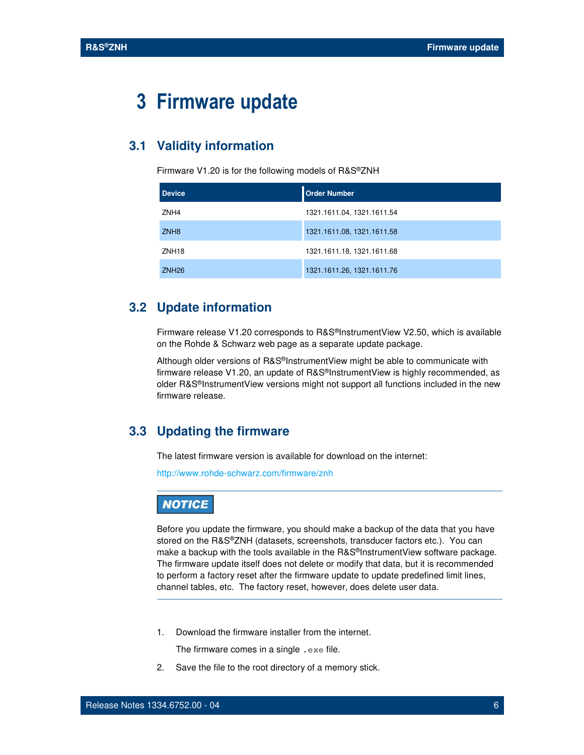# **3 Firmware update**

#### **3.1 Validity information**

Firmware V1.20 is for the following models of R&S®ZNH

| <b>Device</b>     | <b>Order Number</b>        |
|-------------------|----------------------------|
| ZNH4              | 1321.1611.04, 1321.1611.54 |
| ZNH <sub>8</sub>  | 1321.1611.08, 1321.1611.58 |
| ZNH <sub>18</sub> | 1321.1611.18, 1321.1611.68 |
| ZNH <sub>26</sub> | 1321.1611.26, 1321.1611.76 |

### **3.2 Update information**

Firmware release V1.20 corresponds to R&S®InstrumentView V2.50, which is available on the Rohde & Schwarz web page as a separate update package.

Although older versions of R&S®InstrumentView might be able to communicate with firmware release V1.20, an update of R&S®InstrumentView is highly recommended, as older R&S®InstrumentView versions might not support all functions included in the new firmware release.

### **3.3 Updating the firmware**

The latest firmware version is available for download on the internet:

http://www.rohde-schwarz.com/firmware/znh

### **NOTICE**

Before you update the firmware, you should make a backup of the data that you have stored on the R&S®ZNH (datasets, screenshots, transducer factors etc.). You can make a backup with the tools available in the R&S®InstrumentView software package. The firmware update itself does not delete or modify that data, but it is recommended to perform a factory reset after the firmware update to update predefined limit lines, channel tables, etc. The factory reset, however, does delete user data.

1. Download the firmware installer from the internet.

The firmware comes in a single . exe file.

2. Save the file to the root directory of a memory stick.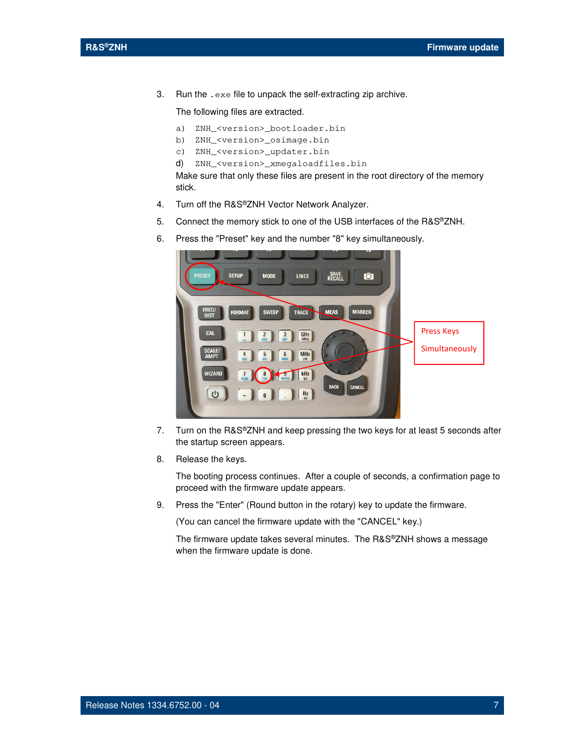3. Run the .exe file to unpack the self-extracting zip archive.

The following files are extracted.

- a) ZNH\_<version>\_bootloader.bin
- b) ZNH\_<version>\_osimage.bin
- c) ZNH\_<version>\_updater.bin
- d) ZNH\_<version>\_xmegaloadfiles.bin

Make sure that only these files are present in the root directory of the memory stick.

- 4. Turn off the R&S®ZNH Vector Network Analyzer.
- 5. Connect the memory stick to one of the USB interfaces of the R&S®ZNH.
- 6. Press the "Preset" key and the number "8" key simultaneously.



- 7. Turn on the R&S®ZNH and keep pressing the two keys for at least 5 seconds after the startup screen appears.
- 8. Release the keys.

The booting process continues. After a couple of seconds, a confirmation page to proceed with the firmware update appears.

9. Press the "Enter" (Round button in the rotary) key to update the firmware.

(You can cancel the firmware update with the "CANCEL" key.)

The firmware update takes several minutes. The R&S®ZNH shows a message when the firmware update is done.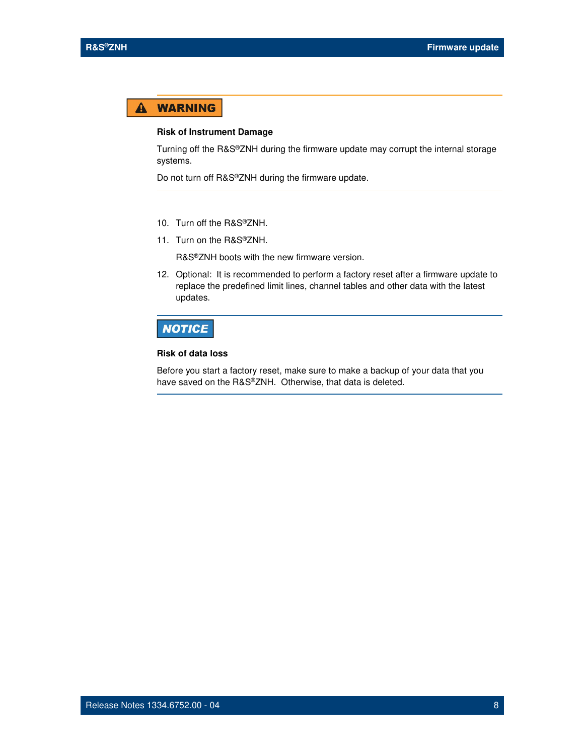#### **WARNING**  $\blacktriangle$

#### **Risk of Instrument Damage**

Turning off the R&S®ZNH during the firmware update may corrupt the internal storage systems.

Do not turn off R&S®ZNH during the firmware update.

- 10. Turn off the R&S®ZNH.
- 11. Turn on the R&S®ZNH.

R&S®ZNH boots with the new firmware version.

12. Optional: It is recommended to perform a factory reset after a firmware update to replace the predefined limit lines, channel tables and other data with the latest updates.

### **NOTICE**

#### **Risk of data loss**

Before you start a factory reset, make sure to make a backup of your data that you have saved on the R&S®ZNH. Otherwise, that data is deleted.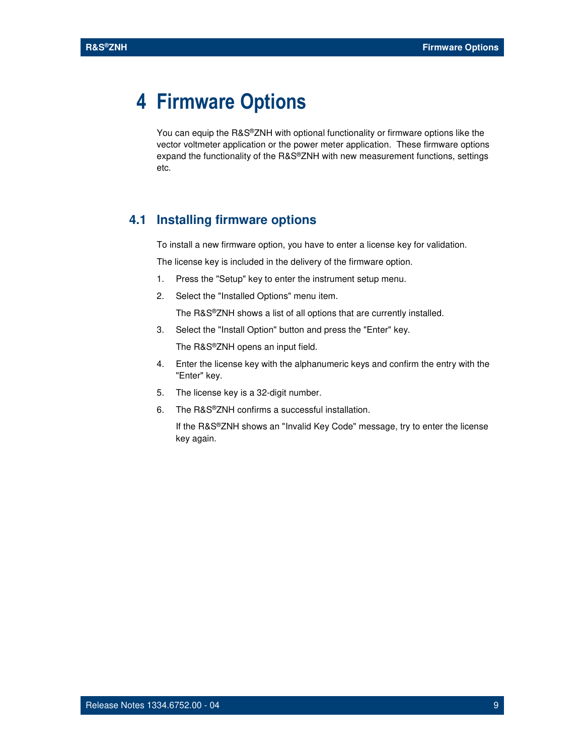# **4 Firmware Options**

You can equip the R&S®ZNH with optional functionality or firmware options like the vector voltmeter application or the power meter application. These firmware options expand the functionality of the R&S®ZNH with new measurement functions, settings etc.

#### **4.1 Installing firmware options**

To install a new firmware option, you have to enter a license key for validation.

The license key is included in the delivery of the firmware option.

- 1. Press the "Setup" key to enter the instrument setup menu.
- 2. Select the "Installed Options" menu item.

The R&S®ZNH shows a list of all options that are currently installed.

3. Select the "Install Option" button and press the "Enter" key.

The R&S®ZNH opens an input field.

- 4. Enter the license key with the alphanumeric keys and confirm the entry with the "Enter" key.
- 5. The license key is a 32-digit number.
- 6. The R&S®ZNH confirms a successful installation.

If the R&S®ZNH shows an "Invalid Key Code" message, try to enter the license key again.